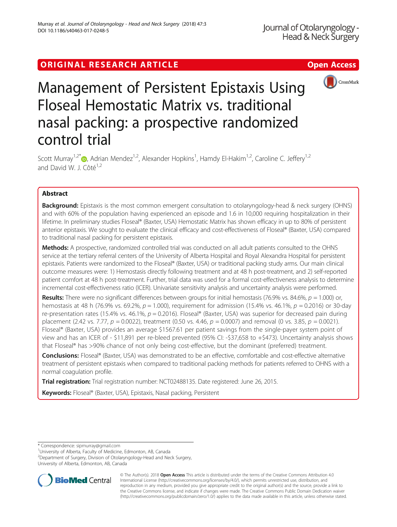## ORIGINAL RESEARCH ARTICLE **External of the Contract Contract Contract Contract Contract Contract Contract Contract Contract Contract Contract Contract Contract Contract Contract Contract Contract Contract Contract Contract**



# Management of Persistent Epistaxis Using Floseal Hemostatic Matrix vs. traditional nasal packing: a prospective randomized control trial

Scott Murray<sup>1[,](http://orcid.org/0000-0001-5691-4256)2\*</sup> (**D**, Adrian Mendez<sup>1,2</sup>, Alexander Hopkins<sup>1</sup>, Hamdy El-Hakim<sup>1,2</sup>, Caroline C. Jeffery<sup>1,2</sup> and David W. J. Côté<sup>1,2</sup>

## Abstract

Background: Epistaxis is the most common emergent consultation to otolaryngology-head & neck surgery (OHNS) and with 60% of the population having experienced an episode and 1.6 in 10,000 requiring hospitalization in their lifetime. In preliminary studies Floseal® (Baxter, USA) Hemostatic Matrix has shown efficacy in up to 80% of persistent anterior epistaxis. We sought to evaluate the clinical efficacy and cost-effectiveness of Floseal® (Baxter, USA) compared to traditional nasal packing for persistent epistaxis.

Methods: A prospective, randomized controlled trial was conducted on all adult patients consulted to the OHNS service at the tertiary referral centers of the University of Alberta Hospital and Royal Alexandra Hospital for persistent epistaxis. Patients were randomized to the Floseal® (Baxter, USA) or traditional packing study arms. Our main clinical outcome measures were: 1) Hemostasis directly following treatment and at 48 h post-treatment, and 2) self-reported patient comfort at 48 h post-treatment. Further, trial data was used for a formal cost-effectiveness analysis to determine incremental cost-effectiveness ratio (ICER). Univariate sensitivity analysis and uncertainty analysis were performed.

Results: There were no significant differences between groups for initial hemostasis (76.9% vs. 84.6%,  $p = 1.000$ ) or, hemostasis at 48 h (76.9% vs. 69.2%,  $p = 1.000$ ), requirement for admission (15.4% vs. 46.1%,  $p = 0.2016$ ) or 30-day re-presentation rates (15.4% vs. 46.1%,  $p = 0.2016$ ). Floseal® (Baxter, USA) was superior for decreased pain during placement (2.42 vs. 7.77,  $p = 0.0022$ ), treatment (0.50 vs. 4.46,  $p = 0.0007$ ) and removal (0 vs. 3.85,  $p = 0.0021$ ). Floseal® (Baxter, USA) provides an average \$1567.61 per patient savings from the single-payer system point of view and has an ICER of - \$11,891 per re-bleed prevented (95% CI: -\$37,658 to +\$473). Uncertainty analysis shows that Floseal® has >90% chance of not only being cost-effective, but the dominant (preferred) treatment.

Conclusions: Floseal® (Baxter, USA) was demonstrated to be an effective, comfortable and cost-effective alternative treatment of persistent epistaxis when compared to traditional packing methods for patients referred to OHNS with a normal coagulation profile.

Trial registration: Trial registration number: [NCT02488135.](https://clinicaltrials.gov/ct2/show/NCT02488135?term=NCT02488135&rank=1) Date registered: June 26, 2015.

Keywords: Floseal® (Baxter, USA), Epistaxis, Nasal packing, Persistent



© The Author(s). 2018 **Open Access** This article is distributed under the terms of the Creative Commons Attribution 4.0 International License [\(http://creativecommons.org/licenses/by/4.0/](http://creativecommons.org/licenses/by/4.0/)), which permits unrestricted use, distribution, and reproduction in any medium, provided you give appropriate credit to the original author(s) and the source, provide a link to the Creative Commons license, and indicate if changes were made. The Creative Commons Public Domain Dedication waiver [\(http://creativecommons.org/publicdomain/zero/1.0/](http://creativecommons.org/publicdomain/zero/1.0/)) applies to the data made available in this article, unless otherwise stated.

<sup>\*</sup> Correspondence: [sipmurray@gmail.com](mailto:sipmurray@gmail.com) <sup>1</sup>

University of Alberta, Faculty of Medicine, Edmonton, AB, Canada

<sup>&</sup>lt;sup>2</sup>Department of Surgery, Division of Otolaryngology-Head and Neck Surgery, University of Alberta, Edmonton, AB, Canada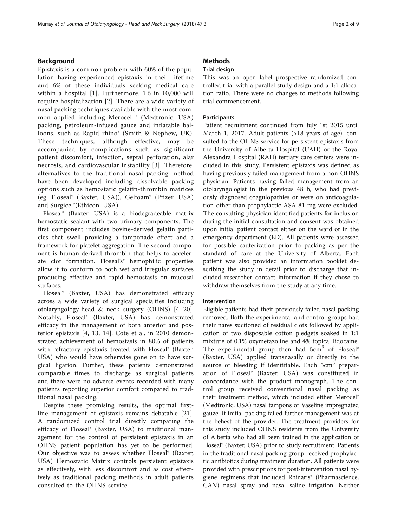## Background

Epistaxis is a common problem with 60% of the population having experienced epistaxis in their lifetime and 6% of these individuals seeking medical care within a hospital [[1](#page-8-0)]. Furthermore, 1.6 in 10,000 will require hospitalization [\[2](#page-8-0)]. There are a wide variety of nasal packing techniques available with the most common applied including Merocel ® (Medtronic, USA) packing, petroleum-infused gauze and inflatable balloons, such as Rapid rhino® (Smith & Nephew, UK). These techniques, although effective, may be accompanied by complications such as significant patient discomfort, infection, septal perforation, alar necrosis, and cardiovascular instability [[3\]](#page-8-0). Therefore, alternatives to the traditional nasal packing method have been developed including dissolvable packing options such as hemostatic gelatin-thrombin matrices (eg. Floseal® (Baxter, USA)), Gelfoam® (Pfizer, USA) and Surgicel®(Ethicon, USA).

Floseal® (Baxter, USA) is a biodegradeable matrix hemostatic sealant with two primary components. The first component includes bovine-derived gelatin particles that swell providing a tamponade effect and a framework for platelet aggregation. The second component is human-derived thrombin that helps to accelerate clot formation. Floseal's® hemophilic properties allow it to conform to both wet and irregular surfaces producing effective and rapid hemostasis on mucosal surfaces.

Floseal® (Baxter, USA) has demonstrated efficacy across a wide variety of surgical specialties including otolaryngology-head & neck surgery (OHNS) [[4](#page-8-0)–[20](#page-8-0)]. Notably, Floseal® (Baxter, USA) has demonstrated efficacy in the management of both anterior and posterior epistaxis [[4, 13, 14\]](#page-8-0). Cote et al. in 2010 demonstrated achievement of hemostasis in 80% of patients with refractory epistaxis treated with Floseal® (Baxter, USA) who would have otherwise gone on to have surgical ligation. Further, these patients demonstrated comparable times to discharge as surgical patients and there were no adverse events recorded with many patients reporting superior comfort compared to traditional nasal packing.

Despite these promising results, the optimal firstline management of epistaxis remains debatable [[21](#page-8-0)]. A randomized control trial directly comparing the efficacy of Floseal® (Baxter, USA) to traditional management for the control of persistent epistaxis in an OHNS patient population has yet to be performed. Our objective was to assess whether Floseal® (Baxter, USA) Hemostatic Matrix controls persistent epistaxis as effectively, with less discomfort and as cost effectively as traditional packing methods in adult patients consulted to the OHNS service.

## **Methods**

## Trial design

This was an open label prospective randomized controlled trial with a parallel study design and a 1:1 allocation ratio. There were no changes to methods following trial commencement.

## **Participants**

Patient recruitment continued from July 1st 2015 until March 1, 2017. Adult patients (>18 years of age), consulted to the OHNS service for persistent epistaxis from the University of Alberta Hospital (UAH) or the Royal Alexandra Hospital (RAH) tertiary care centers were included in this study. Persistent epistaxis was defined as having previously failed management from a non-OHNS physician. Patients having failed management from an otolaryngologist in the previous 48 h, who had previously diagnosed coagulopathies or were on anticoagulation other than prophylactic ASA 81 mg were excluded. The consulting physician identified patients for inclusion during the initial consultation and consent was obtained upon initial patient contact either on the ward or in the emergency department (ED). All patients were assessed for possible cauterization prior to packing as per the standard of care at the University of Alberta. Each patient was also provided an information booklet describing the study in detail prior to discharge that included researcher contact information if they chose to withdraw themselves from the study at any time.

## Intervention

Eligible patients had their previously failed nasal packing removed. Both the experimental and control groups had their nares suctioned of residual clots followed by application of two disposable cotton pledgets soaked in 1:1 mixture of 0.1% oxymetazoline and 4% topical lidocaine. The experimental group then had  $5cm<sup>3</sup>$  of Floseal® (Baxter, USA) applied transnasally or directly to the source of bleeding if identifiable. Each 5cm<sup>3</sup> preparation of Floseal® (Baxter, USA) was constituted in concordance with the product monograph. The control group received conventional nasal packing as their treatment method, which included either Merocel® (Medtronic, USA) nasal tampons or Vaseline impregnated gauze. If initial packing failed further management was at the behest of the provider. The treatment providers for this study included OHNS residents from the University of Alberta who had all been trained in the application of Floseal® (Baxter, USA) prior to study recruitment. Patients in the traditional nasal packing group received prophylactic antibiotics during treatment duration. All patients were provided with prescriptions for post-intervention nasal hygiene regimens that included Rhinaris® (Pharmascience, CAN) nasal spray and nasal saline irrigation. Neither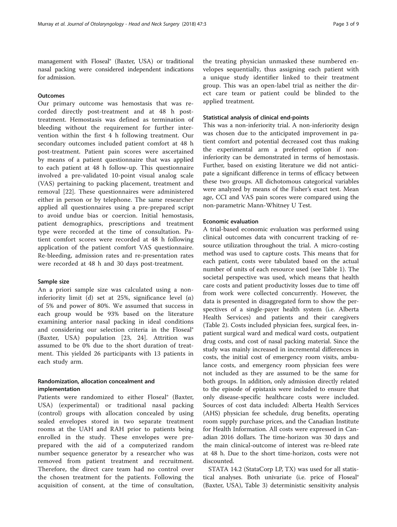management with Floseal® (Baxter, USA) or traditional nasal packing were considered independent indications for admission.

#### **Outcomes**

Our primary outcome was hemostasis that was recorded directly post-treatment and at 48 h posttreatment. Hemostasis was defined as termination of bleeding without the requirement for further intervention within the first 4 h following treatment. Our secondary outcomes included patient comfort at 48 h post-treatment. Patient pain scores were ascertained by means of a patient questionnaire that was applied to each patient at 48 h follow-up. This questionnaire involved a pre-validated 10-point visual analog scale (VAS) pertaining to packing placement, treatment and removal [[22\]](#page-8-0). These questionnaires were administered either in person or by telephone. The same researcher applied all questionnaires using a pre-prepared script to avoid undue bias or coercion. Initial hemostasis, patient demographics, prescriptions and treatment type were recorded at the time of consultation. Patient comfort scores were recorded at 48 h following application of the patient comfort VAS questionnaire. Re-bleeding, admission rates and re-presentation rates were recorded at 48 h and 30 days post-treatment.

#### Sample size

An a priori sample size was calculated using a noninferiority limit (d) set at 25%, significance level  $(\alpha)$ of 5% and power of 80%. We assumed that success in each group would be 93% based on the literature examining anterior nasal packing in ideal conditions and considering our selection criteria in the Floseal® (Baxter, USA) population [\[23](#page-8-0), [24](#page-8-0)]. Attrition was assumed to be 0% due to the short duration of treatment. This yielded 26 participants with 13 patients in each study arm.

## Randomization, allocation concealment and implementation

Patients were randomized to either Floseal® (Baxter, USA) (experimental) or traditional nasal packing (control) groups with allocation concealed by using sealed envelopes stored in two separate treatment rooms at the UAH and RAH prior to patients being enrolled in the study. These envelopes were preprepared with the aid of a computerized random number sequence generator by a researcher who was removed from patient treatment and recruitment. Therefore, the direct care team had no control over the chosen treatment for the patients. Following the acquisition of consent, at the time of consultation,

the treating physician unmasked these numbered envelopes sequentially, thus assigning each patient with a unique study identifier linked to their treatment group. This was an open-label trial as neither the direct care team or patient could be blinded to the applied treatment.

## Statistical analysis of clinical end-points

This was a non-inferiority trial. A non-inferiority design was chosen due to the anticipated improvement in patient comfort and potential decreased cost thus making the experimental arm a preferred option if noninferiority can be demonstrated in terms of hemostasis. Further, based on existing literature we did not anticipate a significant difference in terms of efficacy between these two groups. All dichotomous categorical variables were analyzed by means of the Fisher's exact test. Mean age, CCI and VAS pain scores were compared using the non-parametric Mann-Whitney U Test.

## Economic evaluation

A trial-based economic evaluation was performed using clinical outcomes data with concurrent tracking of resource utilization throughout the trial. A micro-costing method was used to capture costs. This means that for each patient, costs were tabulated based on the actual number of units of each resource used (see Table [1](#page-3-0)). The societal perspective was used, which means that health care costs and patient productivity losses due to time off from work were collected concurrently. However, the data is presented in disaggregated form to show the perspectives of a single-payer health system (i.e. Alberta Health Services) and patients and their caregivers (Table [2\)](#page-3-0). Costs included physician fees, surgical fees, inpatient surgical ward and medical ward costs, outpatient drug costs, and cost of nasal packing material. Since the study was mainly increased in incremental differences in costs, the initial cost of emergency room visits, ambulance costs, and emergency room physician fees were not included as they are assumed to be the same for both groups. In addition, only admission directly related to the episode of epistaxis were included to ensure that only disease-specific healthcare costs were included. Sources of cost data included: Alberta Health Services (AHS) physician fee schedule, drug benefits, operating room supply purchase prices, and the Canadian Institute for Health Information. All costs were expressed in Canadian 2016 dollars. The time-horizon was 30 days and the main clinical-outcome of interest was re-bleed rate at 48 h. Due to the short time-horizon, costs were not discounted.

STATA 14.2 (StataCorp LP, TX) was used for all statistical analyses. Both univariate (i.e. price of Floseal® (Baxter, USA), Table [3\)](#page-3-0) deterministic sensitivity analysis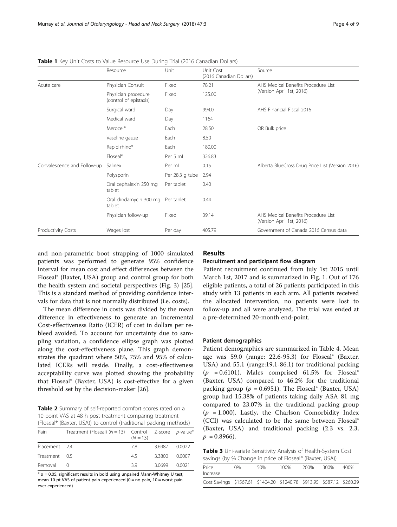|                             | Resource                                      | Unit            | Unit Cost<br>(2016 Canadian Dollars) | Source                                                           |
|-----------------------------|-----------------------------------------------|-----------------|--------------------------------------|------------------------------------------------------------------|
| Acute care                  | Physician Consult                             | Fixed           | 78.21                                | AHS Medical Benefits Procedure List                              |
|                             | Physician procedure<br>(control of epistaxis) | Fixed           | 125.00                               | (Version April 1st, 2016)                                        |
|                             | Surgical ward                                 | Day             | 994.0                                | AHS Financial Fiscal 2016                                        |
|                             | Medical ward                                  | Day             | 1164                                 |                                                                  |
|                             | Merocel <sup>®</sup>                          | Each            | 28.50                                | OR Bulk price                                                    |
|                             | Vaseline gauze                                | Each            | 8.50                                 |                                                                  |
|                             | Rapid rhino®                                  | Each            | 180.00                               |                                                                  |
|                             | Floseal <sup>®</sup>                          | Per 5 mL        | 326.83                               |                                                                  |
| Convalescence and Follow-up | Salinex                                       | Per mL          | 0.15                                 | Alberta BlueCross Drug Price List (Version 2016)                 |
|                             | Polysporin                                    | Per 28.3 g tube | 2.94                                 |                                                                  |
|                             | Oral cephalexin 250 mg<br>tablet              | Per tablet      | 0.40                                 |                                                                  |
|                             | Oral clindamycin 300 mg<br>tablet             | Per tablet      | 0.44                                 |                                                                  |
|                             | Physician follow-up                           | Fixed           | 39.14                                | AHS Medical Benefits Procedure List<br>(Version April 1st, 2016) |
| <b>Productivity Costs</b>   | Wages lost                                    | Per day         | 405.79                               | Government of Canada 2016 Census data                            |

<span id="page-3-0"></span>Table 1 Key Unit Costs to Value Resource Use During Trial (2016 Canadian Dollars)

and non-parametric boot strapping of 1000 simulated patients was performed to generate 95% confidence interval for mean cost and effect differences between the Floseal® (Baxter, USA) group and control group for both the health system and societal perspectives (Fig. [3](#page-7-0)) [\[25](#page-8-0)]. This is a standard method of providing confidence intervals for data that is not normally distributed (i.e. costs).

The mean difference in costs was divided by the mean difference in effectiveness to generate an Incremental Cost-effectiveness Ratio (ICER) of cost in dollars per rebleed avoided. To account for uncertainty due to sampling variation, a confidence ellipse graph was plotted along the cost-effectiveness plane. This graph demonstrates the quadrant where 50%, 75% and 95% of calculated ICERs will reside. Finally, a cost-effectiveness acceptability curve was plotted showing the probability that Floseal® (Baxter, USA) is cost-effective for a given threshold set by the decision-maker [\[26](#page-8-0)].

Table 2 Summary of self-reported comfort scores rated on a 10-point VAS at 48 h post-treatment comparing treatment (Floseal® (Baxter, USA)) to control (traditional packing methods)

| Pain          | Treatment (Floseal) ( $N = 13$ ) Control Z-score p-value <sup>a</sup> | $(N = 13)$ |       |        |
|---------------|-----------------------------------------------------------------------|------------|-------|--------|
| Placement 2.4 |                                                                       | 78         | 36987 | 0.0022 |
| Treatment 0.5 |                                                                       | 45         | 33800 | 0.0007 |
| Removal       |                                                                       | 39         | 30699 | 0.0021 |

 $a = 0.05$ , significant results in bold using unpaired Mann-Whitney U test; mean 10-pt VAS of patient pain experienced  $(0 = no$  pain, 10 = worst pain ever experienced)

## Results

#### Recruitment and participant flow diagram

Patient recruitment continued from July 1st 2015 until March 1st, 2017 and is summarized in Fig. [1](#page-4-0). Out of 176 eligible patients, a total of 26 patients participated in this study with 13 patients in each arm. All patients received the allocated intervention, no patients were lost to follow-up and all were analyzed. The trial was ended at a pre-determined 20-month end-point.

## Patient demographics

Patient demographics are summarized in Table [4.](#page-4-0) Mean age was 59.0 (range: 22.6-95.3) for Floseal<sup>®</sup> (Baxter, USA) and 55.1 (range:19.1-86.1) for traditional packing  $(p = 0.6101)$ . Males comprised 61.5% for Floseal® (Baxter, USA) compared to 46.2% for the traditional packing group ( $p = 0.6951$ ). The Floseal<sup>®</sup> (Baxter, USA) group had 15.38% of patients taking daily ASA 81 mg compared to 23.07% in the traditional packing group  $(p = 1.000)$ . Lastly, the Charlson Comorbidity Index (CCI) was calculated to be the same between Floseal® (Baxter, USA) and traditional packing (2.3 vs. 2.3,  $p = 0.8966$ .

|                                                          | <b>Table 3</b> Uni-variate Sensitivity Analysis of Health-System Cost |
|----------------------------------------------------------|-----------------------------------------------------------------------|
| savings (by % Change in price of Floseal® (Baxter, USA)) |                                                                       |

| $38111199$ (b) is enterty entirely the process of the second second second second second second second second second second second second second second second second second second second second second second second second |    |     |      |      |      |      |
|-------------------------------------------------------------------------------------------------------------------------------------------------------------------------------------------------------------------------------|----|-----|------|------|------|------|
| Price<br>Increase                                                                                                                                                                                                             | 0% | 50% | 100% | 200% | 300% | 400% |
| Cost Savings \$1567.61 \$1404.20 \$1240.78 \$913.95 \$587.12 \$260.29                                                                                                                                                         |    |     |      |      |      |      |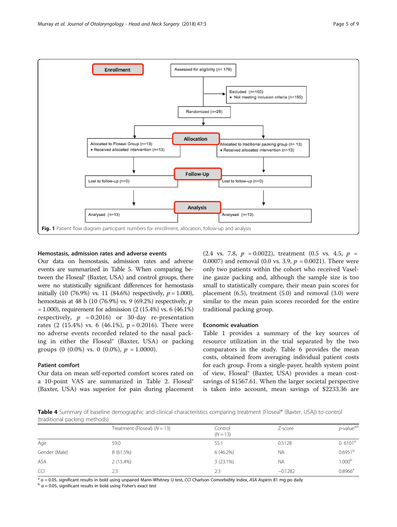<span id="page-4-0"></span>

#### Hemostasis, admission rates and adverse events

Our data on hemostasis, admission rates and adverse events are summarized in Table [5.](#page-5-0) When comparing between the Floseal® (Baxter, USA) and control groups, there were no statistically significant differences for hemostasis initially (10 (76.9%) vs. 11 (84.6%) respectively,  $p = 1.000$ ), hemostasis at 48 h (10 (76.9%) vs. 9 (69.2%) respectively,  $p$  $= 1.000$ ), requirement for admission (2 (15.4%) vs. 6 (46.1%) respectively,  $p = 0.2016$  or 30-day re-presentation rates  $(2 (15.4%)$  vs. 6  $(46.1%)$ , p = 0.2016). There were no adverse events recorded related to the nasal packing in either the Floseal® (Baxter, USA) or packing groups (0 (0.0%) vs. 0 (0.0%),  $p = 1.0000$ .

#### Patient comfort

Our data on mean self-reported comfort scores rated on a 10-point VAS are summarized in Table [2.](#page-3-0) Floseal® (Baxter, USA) was superior for pain during placement

 $(2.4 \text{ vs. } 7.8, p = 0.0022)$ , treatment  $(0.5 \text{ vs. } 4.5, p =$ 0.0007) and removal (0.0 vs. 3.9,  $p = 0.0021$ ). There were only two patients within the cohort who received Vaseline gauze packing and, although the sample size is too small to statistically compare, their mean pain scores for placement (6.5), treatment (5.0) and removal (3.0) were similar to the mean pain scores recorded for the entire traditional packing group.

#### Economic evaluation

Table [1](#page-3-0) provides a summary of the key sources of resource utilization in the trial separated by the two comparators in the study. Table [6](#page-5-0) provides the mean costs, obtained from averaging individual patient costs for each group. From a single-payer, health system point of view, Floseal® (Baxter, USA) provides a mean costsavings of \$1567.61. When the larger societal perspective is taken into account, mean savings of \$2233.36 are

Table 4 Summary of baseline demographic and clinical characteristics comparing treatment (Floseal® (Baxter, USA)) to control (traditional packing methods)

|               | Treatment (Floseal) $(N = 13)$ | Control<br>$(N = 13)$ | Z-score   | $p$ -value <sup>a,b</sup> |
|---------------|--------------------------------|-----------------------|-----------|---------------------------|
| Age           | 59.0                           | 55.1                  | 0.5128    | 0.6101 <sup>a</sup>       |
| Gender (Male) | 8 (61.5%)                      | 6(46.2%)              | <b>NA</b> | 0.6951 <sup>b</sup>       |
| ASA           | 2(15.4%)                       | $3(23.1\%)$           | <b>NA</b> | 1.000 <sup>b</sup>        |
| <b>CCI</b>    | 2.3                            | 2.3                   | $-0.1282$ | $0.8966^a$                |

 $\frac{a}{a}$  α = 0.05, significant results in bold using unpaired Mann-Whitney U test, CCI Charlson Comorbidity Index, ASA Aspirin 81 mg po daily b α = 0.05, significant results in bold using Fisher's exact test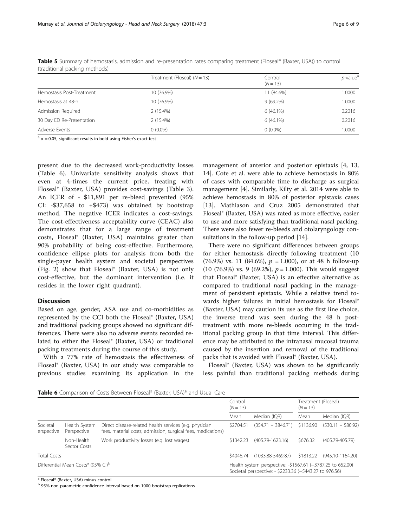|                           | Treatment (Floseal) $(N = 13)$ | Control<br>$(N = 13)$ | $p$ -value <sup>a</sup> |
|---------------------------|--------------------------------|-----------------------|-------------------------|
| Hemostasis Post-Treatment | 10 (76.9%)                     | 11 (84.6%)            | 1.0000                  |
| Hemostasis at 48-h        | 10 (76.9%)                     | $9(69.2\%)$           | 1.0000                  |
| Admission Required        | $2(15.4\%)$                    | $6(46.1\%)$           | 0.2016                  |
| 30 Day ED Re-Presentation | $2(15.4\%)$                    | $6(46.1\%)$           | 0.2016                  |
| Adverse Events            | $0(0.0\%)$                     | $0(0.0\%)$            | 1.0000                  |

<span id="page-5-0"></span>Table 5 Summary of hemostasis, admission and re-presentation rates comparing treatment (Floseal® (Baxter, USA)) to control (traditional packing methods)

 $a = 0.05$ , significant results in bold using Fisher's exact test

present due to the decreased work-productivity losses (Table 6). Univariate sensitivity analysis shows that even at 4-times the current price, treating with Floseal® (Baxter, USA) provides cost-savings (Table [3](#page-3-0)). An ICER of - \$11,891 per re-bleed prevented (95% CI: -\$37,658 to +\$473) was obtained by bootstrap method. The negative ICER indicates a cost-savings. The cost-effectiveness acceptability curve (CEAC) also demonstrates that for a large range of treatment costs, Floseal® (Baxter, USA) maintains greater than 90% probability of being cost-effective. Furthermore, confidence ellipse plots for analysis from both the single-payer health system and societal perspectives (Fig. [2\)](#page-6-0) show that Floseal® (Baxter, USA) is not only cost-effective, but the dominant intervention (i.e. it resides in the lower right quadrant).

## **Discussion**

Based on age, gender, ASA use and co-morbidities as represented by the CCI both the Floseal® (Baxter, USA) and traditional packing groups showed no significant differences. There were also no adverse events recorded related to either the Floseal® (Baxter, USA) or traditional packing treatments during the course of this study.

With a 77% rate of hemostasis the effectiveness of Floseal® (Baxter, USA) in our study was comparable to previous studies examining its application in the management of anterior and posterior epistaxis [[4, 13](#page-8-0), [14\]](#page-8-0). Cote et al. were able to achieve hemostasis in 80% of cases with comparable time to discharge as surgical management [[4\]](#page-8-0). Similarly, Kilty et al. 2014 were able to achieve hemostasis in 80% of posterior epistaxis cases [[13\]](#page-8-0). Mathiason and Cruz 2005 demonstrated that Floseal® (Baxter, USA) was rated as more effective, easier to use and more satisfying than traditional nasal packing. There were also fewer re-bleeds and otolaryngology con-sultations in the follow-up period [\[14\]](#page-8-0).

There were no significant differences between groups for either hemostasis directly following treatment (10 (76.9%) vs. 11 (84.6%),  $p = 1.000$ ), or at 48 h follow-up (10 (76.9%) vs. 9 (69.2%),  $p = 1.000$ ). This would suggest that Floseal® (Baxter, USA) is an effective alternative as compared to traditional nasal packing in the management of persistent epistaxis. While a relative trend towards higher failures in initial hemostasis for Floseal® (Baxter, USA) may caution its use as the first line choice, the inverse trend was seen during the 48 h posttreatment with more re-bleeds occurring in the traditional packing group in that time interval. This difference may be attributed to the intranasal mucosal trauma caused by the insertion and removal of the traditional packs that is avoided with Floseal® (Baxter, USA).

Floseal® (Baxter, USA) was shown to be significantly less painful than traditional packing methods during

Table 6 Comparison of Costs Between Floseal® (Baxter, USA)® and Usual Care

|                                                            |                              |                                                                                                                        | Control<br>$(N = 13)$                                                                                                |                       | Treatment (Floseal)<br>$(N = 13)$ |                            |
|------------------------------------------------------------|------------------------------|------------------------------------------------------------------------------------------------------------------------|----------------------------------------------------------------------------------------------------------------------|-----------------------|-----------------------------------|----------------------------|
|                                                            |                              |                                                                                                                        | Mean                                                                                                                 | Median (IOR)          | Mean                              | Median (IOR)               |
| Societal<br>erspective                                     | Health System<br>Perspective | Direct disease-related health services (e.g. physician<br>fees, material costs, admission, surgical fees, medications) | \$2704.51                                                                                                            | $(354.71 - 3846.71)$  | \$1136.90                         | $(530.11 - 580.92)$        |
|                                                            | Non-Health<br>Sector Costs   | Work productivity losses (e.g. lost wages)                                                                             | \$1342.23                                                                                                            | $(405.79 - 1623.16)$  | \$676.32                          | $(405.79 - 405.79)$        |
| <b>Total Costs</b>                                         |                              |                                                                                                                        | \$4046.74                                                                                                            | $(1033.88 - 5469.87)$ |                                   | \$1813.22 (945.10-1164.20) |
| Differential Mean Costs <sup>a</sup> (95% CI) <sup>b</sup> |                              |                                                                                                                        | Health system perspective: -\$1567.61 (-3787.25 to 652.00)<br>Societal perspective: - \$2233.36 (-5443.27 to 976.56) |                       |                                   |                            |

<sup>a</sup> Floseal® (Baxter, USA) minus control

<sup>b</sup> 95% non-parametric confidence interval based on 1000 bootstrap replications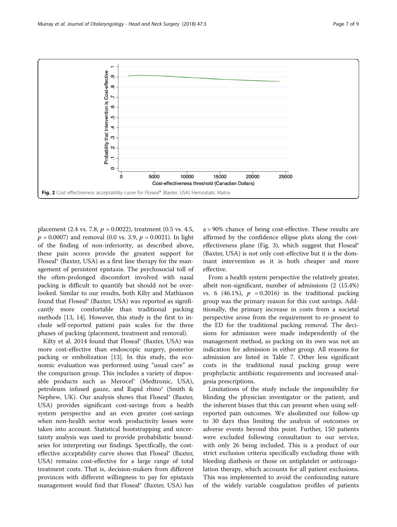<span id="page-6-0"></span>

placement (2.4 vs. 7.8,  $p = 0.0022$ ), treatment (0.5 vs. 4.5,  $p = 0.0007$ ) and removal (0.0 vs. 3.9,  $p = 0.0021$ ). In light of the finding of non-inferiority, as described above, these pain scores provide the greatest support for Floseal® (Baxter, USA) as a first line therapy for the management of persistent epistaxis. The psychosocial toll of the often-prolonged discomfort involved with nasal packing is difficult to quantify but should not be overlooked. Similar to our results, both Kilty and Mathiason found that Floseal® (Baxter, USA) was reported as significantly more comfortable than traditional packing methods [[13, 14\]](#page-8-0). However, this study is the first to include self-reported patient pain scales for the three phases of packing (placement, treatment and removal).

Kilty et al. 2014 found that Floseal® (Baxter, USA) was more cost-effective than endoscopic surgery, posterior packing or embolization [[13\]](#page-8-0). In this study, the economic evaluation was performed using "usual care" as the comparison group. This includes a variety of disposable products such as Merocel® (Medtronic, USA), petroleum infused gauze, and Rapid rhino® (Smith & Nephew, UK). Our analysis shows that Floseal® (Baxter, USA) provides significant cost-savings from a health system perspective and an even greater cost-savings when non-health sector work productivity losses were taken into account. Statistical bootstrapping and uncertainty analysis was used to provide probabilistic boundaries for interpreting our findings. Specifically, the costeffective acceptability curve shows that Floseal® (Baxter, USA) remains cost-effective for a large range of total treatment costs. That is, decision-makers from different provinces with different willingness to pay for epistaxis management would find that Floseal® (Baxter, USA) has a > 90% chance of being cost-effective. These results are affirmed by the confidence ellipse plots along the cost-effectiveness plane (Fig. [3\)](#page-7-0), which suggest that Floseal® (Baxter, USA) is not only cost-effective but it is the dominant intervention as it is both cheaper and more effective.

From a health system perspective the relatively greater, albeit non-significant, number of admissions (2 (15.4%) vs. 6 (46.1%),  $p = 0.2016$ ) in the traditional packing group was the primary reason for this cost savings. Additionally, the primary increase in costs from a societal perspective arose from the requirement to re-present to the ED for the traditional packing removal. The decisions for admission were made independently of the management method, as packing on its own was not an indication for admission in either group. All reasons for admission are listed in Table [7](#page-7-0). Other less significant costs in the traditional nasal packing group were prophylactic antibiotic requirements and increased analgesia prescriptions.

Limitations of the study include the impossibility for blinding the physician investigator or the patient, and the inherent biases that this can present when using selfreported pain outcomes. We alsolimited our follow-up to 30 days thus limiting the analysis of outcomes or adverse events beyond this point. Further, 150 patients were excluded following consultation to our service, with only 26 being included. This is a product of our strict exclusion criteria specifically excluding those with bleeding diathesis or those on antiplatelet or anticoagulation therapy, which accounts for all patient exclusions. This was implemented to avoid the confounding nature of the widely variable coagulation profiles of patients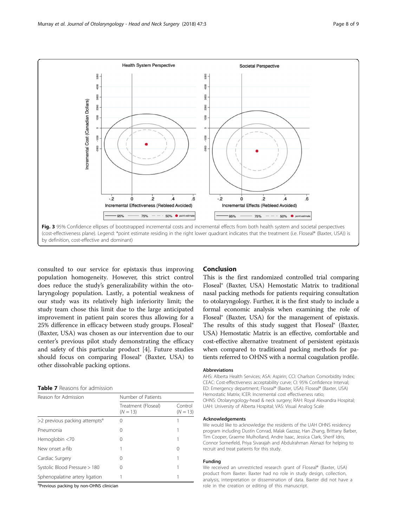<span id="page-7-0"></span>

consulted to our service for epistaxis thus improving population homogeneity. However, this strict control does reduce the study's generalizability within the otolaryngology population. Lastly, a potential weakness of our study was its relatively high inferiority limit; the study team chose this limit due to the large anticipated improvement in patient pain scores thus allowing for a 25% difference in efficacy between study groups. Floseal® (Baxter, USA) was chosen as our intervention due to our center's previous pilot study demonstrating the efficacy and safety of this particular product [[4\]](#page-8-0). Future studies should focus on comparing Floseal® (Baxter, USA) to other dissolvable packing options.

## Table 7 Reasons for admission

| Reason for Admission                      | Number of Patients                |                       |  |  |
|-------------------------------------------|-----------------------------------|-----------------------|--|--|
|                                           | Treatment (Floseal)<br>$(N = 13)$ | Control<br>$(N = 13)$ |  |  |
| >2 previous packing attempts <sup>a</sup> | 0                                 |                       |  |  |
| Pneumonia                                 | 0                                 |                       |  |  |
| Hemoglobin <70                            | 0                                 |                       |  |  |
| New onset a-fib                           |                                   |                       |  |  |
| Cardiac Surgery                           | 0                                 |                       |  |  |
| Systolic Blood Pressure > 180             |                                   |                       |  |  |
| Sphenopalatine artery ligation            |                                   |                       |  |  |

<sup>a</sup>Previous packing by non-OHNS clinician

## Conclusion

This is the first randomized controlled trial comparing Floseal® (Baxter, USA) Hemostatic Matrix to traditional nasal packing methods for patients requiring consultation to otolaryngology. Further, it is the first study to include a formal economic analysis when examining the role of Floseal® (Baxter, USA) for the management of epistaxis. The results of this study suggest that Floseal® (Baxter, USA) Hemostatic Matrix is an effective, comfortable and cost-effective alternative treatment of persistent epistaxis when compared to traditional packing methods for patients referred to OHNS with a normal coagulation profile.

#### Abbreviations

AHS: Alberta Health Services; ASA: Aspirin; CCI: Charlson Comorbidity Index; CEAC: Cost-effectiveness acceptability curve; CI: 95% Confidence Interval; ED: Emergency department; Floseal® (Baxter, USA): Floseal® (Baxter, USA) Hemostatic Matrix; ICER: Incremental cost effectiveness ratio; OHNS: Otolaryngology-head & neck surgery; RAH: Royal Alexandra Hospital; UAH: University of Alberta Hospital; VAS: Visual Analog Scale

#### Acknowledgements

We would like to acknowledge the residents of the UAH OHNS residency program including Dustin Conrad, Malak Gazzaz, Han Zhang, Brittany Barber, Tim Cooper, Graeme Mulholland, Andre Isaac, Jessica Clark, Sherif Idris, Connor Somerfeld, Priya Sivarajah and Abdulrahman Alenazi for helping to recruit and treat patients for this study.

#### Funding

We received an unrestricted research grant of Floseal® (Baxter, USA) product from Baxter. Baxter had no role in study design, collection, analysis, interpretation or dissemination of data. Baxter did not have a role in the creation or editing of this manuscript.